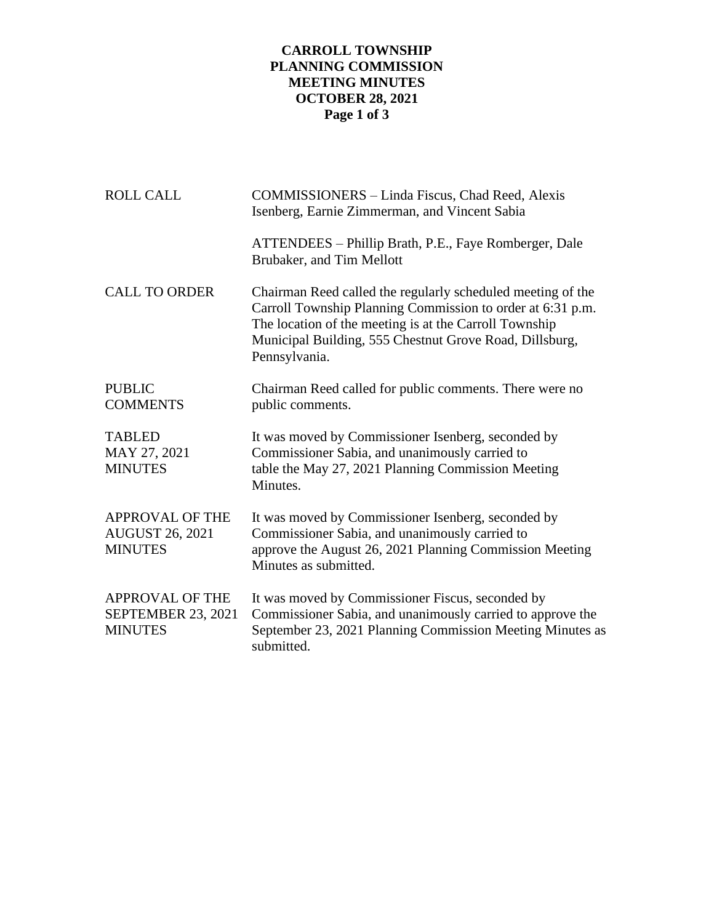## **CARROLL TOWNSHIP PLANNING COMMISSION MEETING MINUTES OCTOBER 28, 2021 Page 1 of 3**

| <b>ROLL CALL</b>                                                      | COMMISSIONERS - Linda Fiscus, Chad Reed, Alexis<br>Isenberg, Earnie Zimmerman, and Vincent Sabia                                                                                                                                                                |  |
|-----------------------------------------------------------------------|-----------------------------------------------------------------------------------------------------------------------------------------------------------------------------------------------------------------------------------------------------------------|--|
|                                                                       | ATTENDEES – Phillip Brath, P.E., Faye Romberger, Dale<br>Brubaker, and Tim Mellott                                                                                                                                                                              |  |
| <b>CALL TO ORDER</b>                                                  | Chairman Reed called the regularly scheduled meeting of the<br>Carroll Township Planning Commission to order at 6:31 p.m.<br>The location of the meeting is at the Carroll Township<br>Municipal Building, 555 Chestnut Grove Road, Dillsburg,<br>Pennsylvania. |  |
| <b>PUBLIC</b><br><b>COMMENTS</b>                                      | Chairman Reed called for public comments. There were no<br>public comments.                                                                                                                                                                                     |  |
| <b>TABLED</b><br>MAY 27, 2021<br><b>MINUTES</b>                       | It was moved by Commissioner Isenberg, seconded by<br>Commissioner Sabia, and unanimously carried to<br>table the May 27, 2021 Planning Commission Meeting<br>Minutes.                                                                                          |  |
| <b>APPROVAL OF THE</b><br><b>AUGUST 26, 2021</b><br><b>MINUTES</b>    | It was moved by Commissioner Isenberg, seconded by<br>Commissioner Sabia, and unanimously carried to<br>approve the August 26, 2021 Planning Commission Meeting<br>Minutes as submitted.                                                                        |  |
| <b>APPROVAL OF THE</b><br><b>SEPTEMBER 23, 2021</b><br><b>MINUTES</b> | It was moved by Commissioner Fiscus, seconded by<br>Commissioner Sabia, and unanimously carried to approve the<br>September 23, 2021 Planning Commission Meeting Minutes as<br>submitted.                                                                       |  |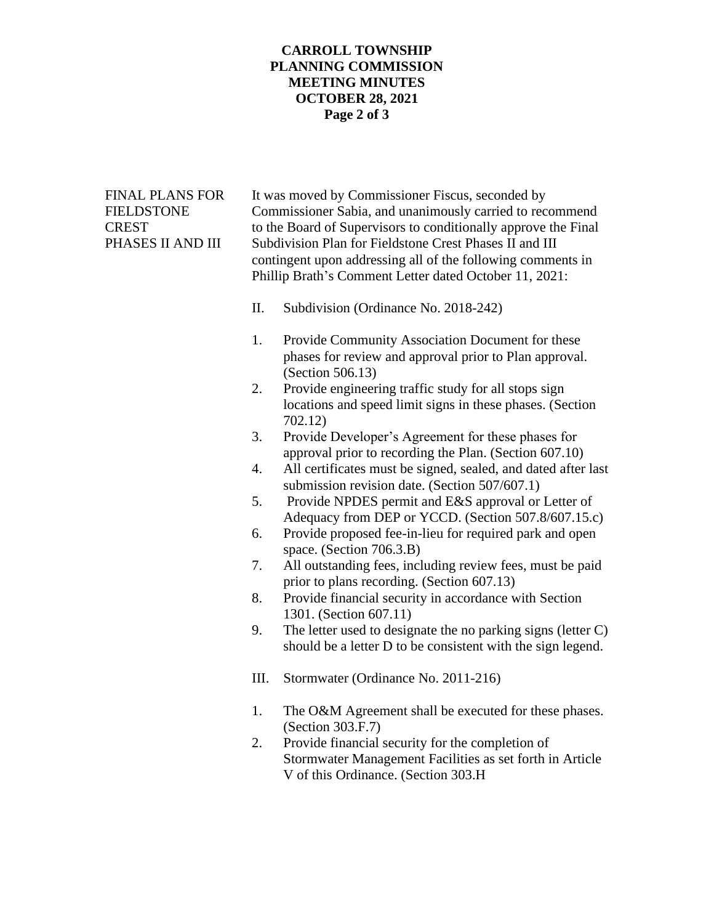## **CARROLL TOWNSHIP PLANNING COMMISSION MEETING MINUTES OCTOBER 28, 2021 Page 2 of 3**

| <b>FINAL PLANS FOR</b><br>FIELDSTONE<br><b>CREST</b><br>PHASES II AND III |          | It was moved by Commissioner Fiscus, seconded by<br>Commissioner Sabia, and unanimously carried to recommend<br>to the Board of Supervisors to conditionally approve the Final<br>Subdivision Plan for Fieldstone Crest Phases II and III<br>contingent upon addressing all of the following comments in<br>Phillip Brath's Comment Letter dated October 11, 2021: |
|---------------------------------------------------------------------------|----------|--------------------------------------------------------------------------------------------------------------------------------------------------------------------------------------------------------------------------------------------------------------------------------------------------------------------------------------------------------------------|
|                                                                           | II.      | Subdivision (Ordinance No. 2018-242)                                                                                                                                                                                                                                                                                                                               |
|                                                                           | 1.<br>2. | Provide Community Association Document for these<br>phases for review and approval prior to Plan approval.<br>(Section 506.13)<br>Provide engineering traffic study for all stops sign                                                                                                                                                                             |
|                                                                           |          | locations and speed limit signs in these phases. (Section<br>702.12)                                                                                                                                                                                                                                                                                               |
|                                                                           | 3.       | Provide Developer's Agreement for these phases for<br>approval prior to recording the Plan. (Section 607.10)                                                                                                                                                                                                                                                       |
|                                                                           | 4.       | All certificates must be signed, sealed, and dated after last                                                                                                                                                                                                                                                                                                      |
|                                                                           | 5.       | submission revision date. (Section 507/607.1)<br>Provide NPDES permit and E&S approval or Letter of                                                                                                                                                                                                                                                                |
|                                                                           | 6.       | Adequacy from DEP or YCCD. (Section 507.8/607.15.c)<br>Provide proposed fee-in-lieu for required park and open                                                                                                                                                                                                                                                     |
|                                                                           | 7.       | space. (Section 706.3.B)<br>All outstanding fees, including review fees, must be paid                                                                                                                                                                                                                                                                              |
|                                                                           | 8.       | prior to plans recording. (Section 607.13)                                                                                                                                                                                                                                                                                                                         |
|                                                                           |          | Provide financial security in accordance with Section<br>1301. (Section 607.11)                                                                                                                                                                                                                                                                                    |
|                                                                           | 9.       | The letter used to designate the no parking signs (letter $C$ )<br>should be a letter D to be consistent with the sign legend.                                                                                                                                                                                                                                     |
|                                                                           | III.     | Stormwater (Ordinance No. 2011-216)                                                                                                                                                                                                                                                                                                                                |
|                                                                           | 1.       | The O&M Agreement shall be executed for these phases.<br>(Section 303.F.7)                                                                                                                                                                                                                                                                                         |
|                                                                           | 2.       | Provide financial security for the completion of<br>Stormwater Management Facilities as set forth in Article<br>V of this Ordinance. (Section 303.H                                                                                                                                                                                                                |